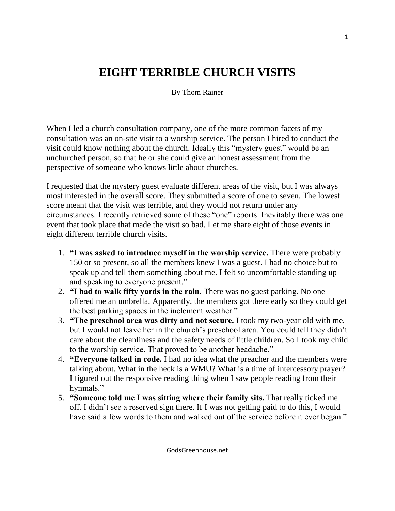## **EIGHT TERRIBLE CHURCH VISITS**

By Thom Rainer

When I led a church consultation company, one of the more common facets of my consultation was an on-site visit to a worship service. The person I hired to conduct the visit could know nothing about the church. Ideally this "mystery guest" would be an unchurched person, so that he or she could give an honest assessment from the perspective of someone who knows little about churches.

I requested that the mystery guest evaluate different areas of the visit, but I was always most interested in the overall score. They submitted a score of one to seven. The lowest score meant that the visit was terrible, and they would not return under any circumstances. I recently retrieved some of these "one" reports. Inevitably there was one event that took place that made the visit so bad. Let me share eight of those events in eight different terrible church visits.

- 1. **"I was asked to introduce myself in the worship service.** There were probably 150 or so present, so all the members knew I was a guest. I had no choice but to speak up and tell them something about me. I felt so uncomfortable standing up and speaking to everyone present."
- 2. **"I had to walk fifty yards in the rain.** There was no guest parking. No one offered me an umbrella. Apparently, the members got there early so they could get the best parking spaces in the inclement weather."
- 3. **"The preschool area was dirty and not secure.** I took my two-year old with me, but I would not leave her in the church's preschool area. You could tell they didn't care about the cleanliness and the safety needs of little children. So I took my child to the worship service. That proved to be another headache."
- 4. **"Everyone talked in code.** I had no idea what the preacher and the members were talking about. What in the heck is a WMU? What is a time of intercessory prayer? I figured out the responsive reading thing when I saw people reading from their hymnals."
- 5. **"Someone told me I was sitting where their family sits.** That really ticked me off. I didn't see a reserved sign there. If I was not getting paid to do this, I would have said a few words to them and walked out of the service before it ever began."